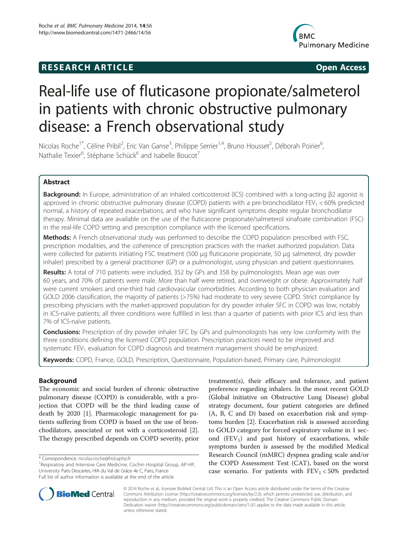## **RESEARCH ARTICLE Example 2018 CONSUMING A RESEARCH ARTICLE**



# Real-life use of fluticasone propionate/salmeterol in patients with chronic obstructive pulmonary disease: a French observational study

Nicolas Roche<sup>1\*</sup>, Céline Pribil<sup>2</sup>, Eric Van Ganse<sup>3</sup>, Philippe Serrier<sup>1,4</sup>, Bruno Housset<sup>5</sup>, Déborah Poirier<sup>6</sup> , Nathalie Texier<sup>6</sup>, Stéphane Schück<sup>6</sup> and Isabelle Boucot<sup>7</sup>

## Abstract

Background: In Europe, administration of an inhaled corticosteroid (ICS) combined with a long-acting β2 agonist is approved in chronic obstructive pulmonary disease (COPD) patients with a pre-bronchodilator  $FEV_1 < 60\%$  predicted normal, a history of repeated exacerbations, and who have significant symptoms despite regular bronchodilator therapy. Minimal data are available on the use of the fluticasone propionate/salmeterol xinafoate combination (FSC) in the real-life COPD setting and prescription compliance with the licensed specifications.

Methods: A French observational study was performed to describe the COPD population prescribed with FSC, prescription modalities, and the coherence of prescription practices with the market authorized population. Data were collected for patients initiating FSC treatment (500 μg fluticasone propionate, 50 μg salmeterol, dry powder inhaler) prescribed by a general practitioner (GP) or a pulmonologist, using physician and patient questionnaires.

Results: A total of 710 patients were included, 352 by GPs and 358 by pulmonologists. Mean age was over 60 years, and 70% of patients were male. More than half were retired, and overweight or obese. Approximately half were current smokers and one-third had cardiovascular comorbidities. According to both physician evaluation and GOLD 2006 classification, the majority of patients (>75%) had moderate to very severe COPD. Strict compliance by prescribing physicians with the market-approved population for dry powder inhaler SFC in COPD was low, notably in ICS-naïve patients; all three conditions were fulfilled in less than a quarter of patients with prior ICS and less than 7% of ICS-naïve patients.

**Conclusions:** Prescription of dry powder inhaler SFC by GPs and pulmonologists has very low conformity with the three conditions defining the licensed COPD population. Prescription practices need to be improved and systematic FEV<sub>1</sub> evaluation for COPD diagnosis and treatment management should be emphasized.

Keywords: COPD, France, GOLD, Prescription, Questionnaire, Population-based, Primary care, Pulmonologist

## Background

The economic and social burden of chronic obstructive pulmonary disease (COPD) is considerable, with a projection that COPD will be the third leading cause of death by 2020 [[1\]](#page-8-0). Pharmacologic management for patients suffering from COPD is based on the use of bronchodilators, associated or not with a corticosteroid [\[2](#page-8-0)]. The therapy prescribed depends on COPD severity, prior

<sup>1</sup>Respiratory and Intensive Care Medicine, Cochin Hospital Group, AP-HP, University Paris Descartes, HIA du Val de Grâce 4e C, Paris, France Full list of author information is available at the end of the article

treatment(s), their efficacy and tolerance, and patient preference regarding inhalers. In the most recent GOLD (Global initiative on Obstructive Lung Disease) global strategy document, four patient categories are defined (A, B, C and D) based on exacerbation risk and symptoms burden [[2\]](#page-8-0). Exacerbation risk is assessed according to GOLD category for forced expiratory volume in 1 second  $(FEV<sub>1</sub>)$  and past history of exacerbations, while symptoms burden is assessed by the modified Medical Research Council (mMRC) dyspnea grading scale and/or the COPD Assessment Test (CAT), based on the worst case scenario. For patients with  $\text{FEV}_1 < 50\%$  predicted



© 2014 Roche et al.; licensee BioMed Central Ltd. This is an Open Access article distributed under the terms of the Creative Commons Attribution License [\(http://creativecommons.org/licenses/by/2.0\)](http://creativecommons.org/licenses/by/2.0), which permits unrestricted use, distribution, and reproduction in any medium, provided the original work is properly credited. The Creative Commons Public Domain Dedication waiver [\(http://creativecommons.org/publicdomain/zero/1.0/](http://creativecommons.org/publicdomain/zero/1.0/)) applies to the data made available in this article, unless otherwise stated.

<sup>\*</sup> Correspondence: [nicolas.roche@htd.aphp.fr](mailto:nicolas.roche@htd.aphp.fr) <sup>1</sup>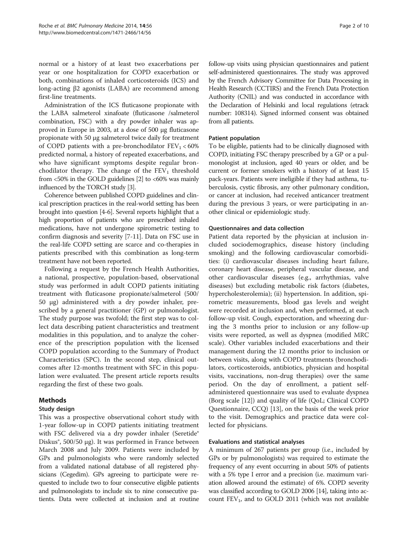normal or a history of at least two exacerbations per year or one hospitalization for COPD exacerbation or both, combinations of inhaled corticosteroids (ICS) and long-acting β2 agonists (LABA) are recommend among first-line treatments.

Administration of the ICS fluticasone propionate with the LABA salmeterol xinafoate (fluticasone /salmeterol combination, FSC) with a dry powder inhaler was approved in Europe in 2003, at a dose of 500 μg fluticasone propionate with 50 μg salmeterol twice daily for treatment of COPD patients with a pre-bronchodilator  $FEV<sub>1</sub> < 60%$ predicted normal, a history of repeated exacerbations, and who have significant symptoms despite regular bronchodilator therapy. The change of the  $FEV<sub>1</sub>$  threshold from  $<50\%$  in the GOLD guidelines [[2\]](#page-8-0) to  $<60\%$  was mainly influenced by the TORCH study [\[3\]](#page-8-0).

Coherence between published COPD guidelines and clinical prescription practices in the real-world setting has been brought into question [\[4](#page-8-0)-[6](#page-8-0)]. Several reports highlight that a high proportion of patients who are prescribed inhaled medications, have not undergone spirometric testing to confirm diagnosis and severity [\[7](#page-8-0)-[11](#page-8-0)]. Data on FSC use in the real-life COPD setting are scarce and co-therapies in patients prescribed with this combination as long-term treatment have not been reported.

Following a request by the French Health Authorities, a national, prospective, population-based, observational study was performed in adult COPD patients initiating treatment with fluticasone propionate/salmeterol (500/ 50 μg) administered with a dry powder inhaler, prescribed by a general practitioner (GP) or pulmonologist. The study purpose was twofold; the first step was to collect data describing patient characteristics and treatment modalities in this population, and to analyze the coherence of the prescription population with the licensed COPD population according to the Summary of Product Characteristics (SPC). In the second step, clinical outcomes after 12-months treatment with SFC in this population were evaluated. The present article reports results regarding the first of these two goals.

## Methods

## Study design

This was a prospective observational cohort study with 1-year follow-up in COPD patients initiating treatment with FSC delivered via a dry powder inhaler (Seretide® Diskus®, 500/50 μg). It was performed in France between March 2008 and July 2009. Patients were included by GPs and pulmonologists who were randomly selected from a validated national database of all registered physicians (Cegedim). GPs agreeing to participate were requested to include two to four consecutive eligible patients and pulmonologists to include six to nine consecutive patients. Data were collected at inclusion and at routine follow-up visits using physician questionnaires and patient self-administered questionnaires. The study was approved by the French Advisory Committee for Data Processing in Health Research (CCTIRS) and the French Data Protection Authority (CNIL) and was conducted in accordance with the Declaration of Helsinki and local regulations (etrack number: 108314). Signed informed consent was obtained from all patients.

## Patient population

To be eligible, patients had to be clinically diagnosed with COPD, initiating FSC therapy prescribed by a GP or a pulmonologist at inclusion, aged 40 years or older, and be current or former smokers with a history of at least 15 pack-years. Patients were ineligible if they had asthma, tuberculosis, cystic fibrosis, any other pulmonary condition, or cancer at inclusion, had received anticancer treatment during the previous 3 years, or were participating in another clinical or epidemiologic study.

## Questionnaires and data collection

Patient data reported by the physician at inclusion included sociodemographics, disease history (including smoking) and the following cardiovascular comorbidities: (i) cardiovascular diseases including heart failure, coronary heart disease, peripheral vascular disease, and other cardiovascular diseases (e.g., arrhythmias, valve diseases) but excluding metabolic risk factors (diabetes, hypercholesterolemia); (ii) hypertension. In addition, spirometric measurements, blood gas levels and weight were recorded at inclusion and, when performed, at each follow-up visit. Cough, expectoration, and wheezing during the 3 months prior to inclusion or any follow-up visits were reported, as well as dyspnea (modified MRC scale). Other variables included exacerbations and their management during the 12 months prior to inclusion or between visits, along with COPD treatments (bronchodilators, corticosteroids, antibiotics, physician and hospital visits, vaccinations, non-drug therapies) over the same period. On the day of enrollment, a patient selfadministered questionnaire was used to evaluate dyspnea (Borg scale [\[12\]](#page-8-0)) and quality of life (QoL; Clinical COPD Questionnaire, CCQ) [[13\]](#page-8-0), on the basis of the week prior to the visit. Demographics and practice data were collected for physicians.

## Evaluations and statistical analyses

A minimum of 267 patients per group (i.e., included by GPs or by pulmonologists) was required to estimate the frequency of any event occurring in about 50% of patients with a 5% type I error and a precision (i.e. maximum variation allowed around the estimate) of 6%. COPD severity was classified according to GOLD 2006 [[14](#page-8-0)], taking into account  $FEV_1$ , and to GOLD 2011 (which was not available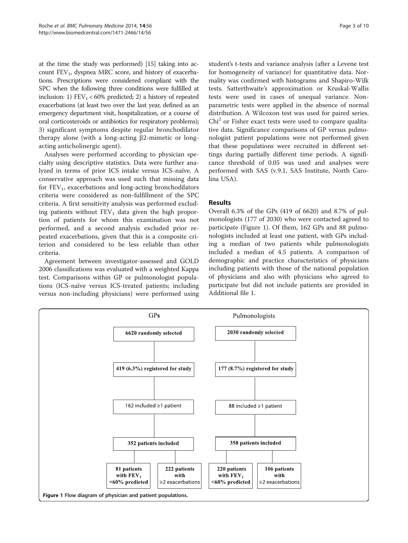<span id="page-2-0"></span>at the time the study was performed) [\[15\]](#page-8-0) taking into account  $FEV<sub>1</sub>$ , dyspnea MRC score, and history of exacerbations. Prescriptions were considered compliant with the SPC when the following three conditions were fulfilled at inclusion: 1)  $FEV_1 < 60\%$  predicted; 2) a history of repeated exacerbations (at least two over the last year, defined as an emergency department visit, hospitalization, or a course of oral corticosteroids or antibiotics for respiratory problems); 3) significant symptoms despite regular bronchodilator therapy alone (with a long-acting β2-mimetic or longacting anticholinergic agent).

Analyses were performed according to physician specialty using descriptive statistics. Data were further analyzed in terms of prior ICS intake versus ICS-naïve. A conservative approach was used such that missing data for  $FEV<sub>1</sub>$ , exacerbations and long-acting bronchodilators criteria were considered as non-fulfillment of the SPC criteria. A first sensitivity analysis was performed excluding patients without  $FEV<sub>1</sub>$  data given the high proportion of patients for whom this examination was not performed, and a second analysis excluded prior repeated exacerbations, given that this is a composite criterion and considered to be less reliable than other criteria.

Agreement between investigator-assessed and GOLD 2006 classifications was evaluated with a weighted Kappa test. Comparisons within GP or pulmonologist populations (ICS-naïve versus ICS-treated patients; including versus non-including physicians) were performed using

student's t-tests and variance analysis (after a Levene test for homogeneity of variance) for quantitative data. Normality was confirmed with histograms and Shapiro-Wilk tests. Satterthwaite's approximation or Kruskal-Wallis tests were used in cases of unequal variance. Nonparametric tests were applied in the absence of normal distribution. A Wilcoxon test was used for paired series.  $Chi<sup>2</sup>$  or Fisher exact tests were used to compare qualitative data. Significance comparisons of GP versus pulmonologist patient populations were not performed given that these populations were recruited in different settings during partially different time periods. A significance threshold of 0.05 was used and analyses were performed with SAS (v.9.1, SAS Institute, North Carolina USA).

## Results

Overall 6.3% of the GPs (419 of 6620) and 8.7% of pulmonologists (177 of 2030) who were contacted agreed to participate (Figure 1). Of them, 162 GPs and 88 pulmonologists included at least one patient, with GPs including a median of two patients while pulmonologists included a median of 4.5 patients. A comparison of demographic and practice characteristics of physicians including patients with those of the national population of physicians and also with physicians who agreed to participate but did not include patients are provided in Additional file [1](#page-8-0).

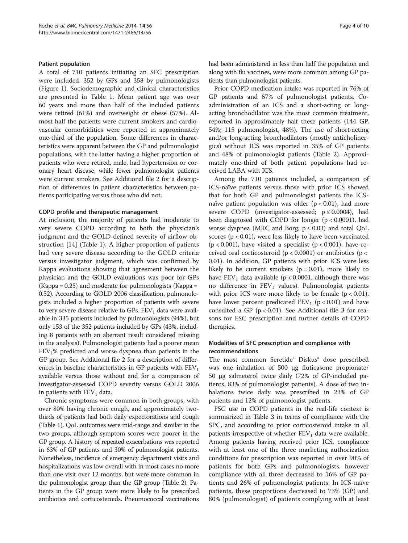#### Patient population

A total of 710 patients initiating an SFC prescription were included, 352 by GPs and 358 by pulmonologists (Figure [1](#page-2-0)). Sociodemographic and clinical characteristics are presented in Table [1.](#page-4-0) Mean patient age was over 60 years and more than half of the included patients were retired (61%) and overweight or obese (57%). Almost half the patients were current smokers and cardiovascular comorbidities were reported in approximately one-third of the population. Some differences in characteristics were apparent between the GP and pulmonologist populations, with the latter having a higher proportion of patients who were retired, male, had hypertension or coronary heart disease, while fewer pulmonologist patients were current smokers. See Additional file [2](#page-8-0) for a description of differences in patient characteristics between patients participating versus those who did not.

#### COPD profile and therapeutic management

At inclusion, the majority of patients had moderate to very severe COPD according to both the physician's judgment and the GOLD-defined severity of airflow obstruction [[14\]](#page-8-0) (Table [1](#page-4-0)). A higher proportion of patients had very severe disease according to the GOLD criteria versus investigator judgment, which was confirmed by Kappa evaluations showing that agreement between the physician and the GOLD evaluations was poor for GPs (Kappa = 0.25) and moderate for pulmonologists (Kappa = 0.52). According to GOLD 2006 classification, pulmonologists included a higher proportion of patients with severe to very severe disease relative to GPs.  $FEV<sub>1</sub>$  data were available in 335 patients included by pulmonologists (94%), but only 153 of the 352 patients included by GPs (43%, including 8 patients with an aberrant result considered missing in the analysis). Pulmonologist patients had a poorer mean  $FEV<sub>1</sub>%$  predicted and worse dyspnea than patients in the GP group. See Additional file [2](#page-8-0) for a description of differences in baseline characteristics in GP patients with  $FEV<sub>1</sub>$ available versus those without and for a comparison of investigator-assessed COPD severity versus GOLD 2006 in patients with  $FEV<sub>1</sub>$  data.

Chronic symptoms were common in both groups, with over 80% having chronic cough, and approximately twothirds of patients had both daily expectorations and cough (Table [1](#page-4-0)). QoL outcomes were mid-range and similar in the two groups, although symptom scores were poorer in the GP group. A history of repeated exacerbations was reported in 63% of GP patients and 30% of pulmonologist patients. Nonetheless, incidence of emergency department visits and hospitalizations was low overall with in most cases no more than one visit over 12 months, but were more common in the pulmonologist group than the GP group (Table [2](#page-6-0)). Patients in the GP group were more likely to be prescribed antibiotics and corticosteroids. Pneumococcal vaccinations had been administered in less than half the population and along with flu vaccines, were more common among GP patients than pulmonologist patients.

Prior COPD medication intake was reported in 76% of GP patients and 67% of pulmonologist patients. Coadministration of an ICS and a short-acting or longacting bronchodilator was the most common treatment, reported in approximately half these patients (144 GP, 54%; 115 pulmonologist, 48%). The use of short-acting and/or long-acting bronchodilators (mostly anticholinergics) without ICS was reported in 35% of GP patients and 48% of pulmonologist patients (Table [2\)](#page-6-0). Approximately one-third of both patient populations had received LABA with ICS.

Among the 710 patients included, a comparison of ICS-naïve patients versus those with prior ICS showed that for both GP and pulmonologist patients the ICSnaïve patient population was older  $(p < 0.01)$ , had more severe COPD (investigator-assessed;  $p \le 0.0004$ ), had been diagnosed with COPD for longer  $(p < 0.0001)$ , had worse dyspnea (MRC and Borg;  $p \le 0.03$ ) and total QoL scores (p < 0.01), were less likely to have been vaccinated  $(p < 0.001)$ , have visited a specialist  $(p < 0.001)$ , have received oral corticosteroid ( $p < 0.0001$ ) or antibiotics ( $p <$ 0.01). In addition, GP patients with prior ICS were less likely to be current smokers ( $p = 0.01$ ), more likely to have  $FEV_1$  data available (p < 0.0001, although there was no difference in  $FEV<sub>1</sub>$  values). Pulmonologist patients with prior ICS were more likely to be female  $(p < 0.01)$ , have lower percent predicated  $FEV_1$  (p < 0.01) and have consulted a GP ( $p < 0.01$ ). See Additional file [3](#page-8-0) for reasons for FSC prescription and further details of COPD therapies.

## Modalities of SFC prescription and compliance with recommendations

The most common Seretide® Diskus® dose prescribed was one inhalation of 500 μg fluticasone propionate/ 50 μg salmeterol twice daily (72% of GP-included patients, 83% of pulmonologist patients). A dose of two inhalations twice daily was prescribed in 23% of GP patients and 12% of pulmonologist patients.

FSC use in COPD patients in the real-life context is summarized in Table [3](#page-7-0) in terms of compliance with the SPC, and according to prior corticosteroid intake in all patients irrespective of whether  $FEV<sub>1</sub>$  data were available. Among patients having received prior ICS, compliance with at least one of the three marketing authorization conditions for prescription was reported in over 90% of patients for both GPs and pulmonologists, however compliance with all three decreased to 16% of GP patients and 26% of pulmonologist patients. In ICS-naïve patients, these proportions decreased to 73% (GP) and 80% (pulmonologist) of patients complying with at least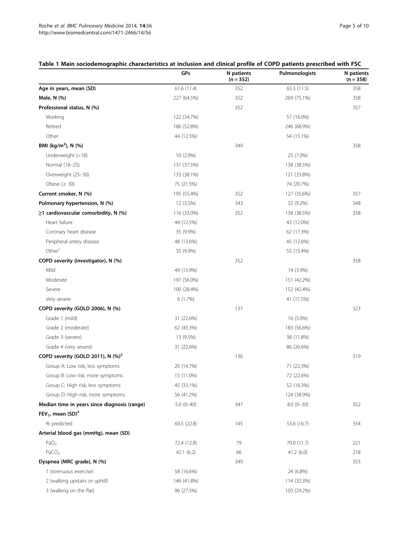## <span id="page-4-0"></span>Table 1 Main sociodemographic characteristics at inclusion and clinical profile of COPD patients prescribed with FSC

|                                               | GPs         | N patients<br>$(n = 352)$ | Pulmonologists | N patients<br>$(n = 358)$ |
|-----------------------------------------------|-------------|---------------------------|----------------|---------------------------|
| Age in years, mean (SD)                       | 61.6(11.4)  | 352                       | 65.3 (11.5)    | 358                       |
| Male, N (%)                                   | 227 (64.5%) | 352                       | 269 (75.1%)    | 358                       |
| Professional status, N (%)                    |             | 352                       |                | 357                       |
| Working                                       | 122 (34.7%) |                           | 57 (16.0%)     |                           |
| Retired                                       | 186 (52.8%) |                           | 246 (68.9%)    |                           |
| Other                                         | 44 (12.5%)  |                           | 54 (15.1%)     |                           |
| BMI (kg/m <sup>2</sup> ), N (%)               |             | 349                       |                | 358                       |
| Underweight (<18)                             | 10 (2.9%)   |                           | 25 (7.0%)      |                           |
| Normal (18-25)                                | 131 (37.5%) |                           | 138 (38.5%)    |                           |
| Overweight (25-30)                            | 133 (38.1%) |                           | 121 (33.8%)    |                           |
| Obese $(2 30)$                                | 75 (21.5%)  |                           | 74 (20.7%)     |                           |
| Current smoker, N (%)                         | 195 (55.4%) | 352                       | 127 (35.6%)    | 357                       |
| Pulmonary hypertension, N (%)                 | 12 (3.5%)   | 343                       | 32 (9.2%)      | 348                       |
| $\geq$ 1 cardiovascular comorbidity, N (%)    | 116 (33.0%) | 352                       | 138 (38.5%)    | 358                       |
| Heart failure                                 | 44 (12.5%)  |                           | 43 (12.0%)     |                           |
| Coronary heart disease                        | 35 (9.9%)   |                           | 62 (17.3%)     |                           |
| Peripheral artery disease                     | 48 (13.6%)  |                           | 45 (12.6%)     |                           |
| Other <sup>1</sup>                            | 35 (9.9%)   |                           | 55 (15.4%)     |                           |
| COPD severity (investigator), N (%)           |             | 352                       |                | 358                       |
| Mild                                          | 49 (13.9%)  |                           | 14 (3.9%)      |                           |
| Moderate                                      | 197 (56.0%) |                           | 151 (42.2%)    |                           |
| Severe                                        | 100 (28.4%) |                           | 152 (42.4%)    |                           |
| Very severe                                   | 6(1.7%)     |                           | 41 (11.5%)     |                           |
| COPD severity (GOLD 2006), N (%)              |             | 137                       |                | 323                       |
| Grade 1 (mild)                                | 31 (22.6%)  |                           | 16 (5.0%)      |                           |
| Grade 2 (moderate)                            | 62 (45.3%)  |                           | 183 (56.6%)    |                           |
| Grade 3 (severe)                              | 13 (9.5%)   |                           | 38 (11.8%)     |                           |
| Grade 4 (very severe)                         | 31 (22.6%)  |                           | 86 (26.6%)     |                           |
| COPD severity (GOLD 2011), N (%) <sup>2</sup> |             | 136                       |                | 319                       |
| Group A: Low risk, less symptoms              | 20 (14.7%)  |                           | 71 (22.3%)     |                           |
| Group B: Low risk, more symptoms              | 15 (11.0%)  |                           | 72 (22.6%)     |                           |
| Group C: High risk, less symptoms             | 45 (33.1%)  |                           | 52 (16.3%)     |                           |
| Group D: High risk, more symptoms             | 56 (41.2%)  |                           | 124 (38.9%)    |                           |
| Median time in years since diagnosis (range)  | $5.0(0-40)$ | 347                       | $4.0(0-30)$    | 352                       |
| FEV <sub>1</sub> , mean $(SD)^3$              |             |                           |                |                           |
| % predicted                                   | 60.5 (22.8) | 145                       | 53.6 (16.7)    | 334                       |
| Arterial blood gas (mmHg), mean (SD)          |             |                           |                |                           |
| PaO <sub>2</sub>                              | 72.4 (12.8) | 79                        | 70.0 (11.7)    | 221                       |
| PaCO <sub>2</sub>                             | 42.1(6.2)   | 66                        | 41.2(6.0)      | 218                       |
| Dyspnea (MRC grade), N (%)                    |             | 349                       |                | 353                       |
| 1 (strenuous exercise)                        | 58 (16.6%)  |                           | 24 (6.8%)      |                           |
| 2 (walking upstairs or uphill)                | 146 (41.8%) |                           | 114 (32.3%)    |                           |
| 3 (walking on the flat)                       | 96 (27.5%)  |                           | 103 (29.2%)    |                           |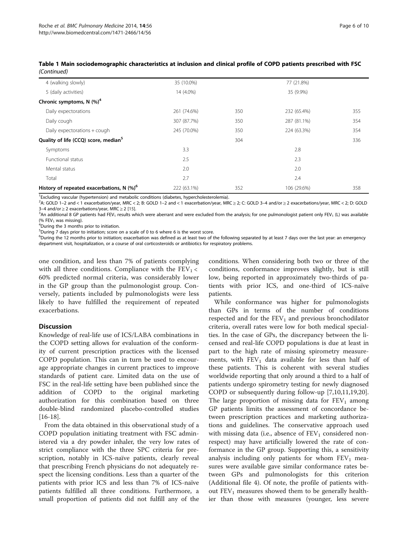| 4 (walking slowly)                                    | 35 (10.0%)  |     | 77 (21.8%)  |     |
|-------------------------------------------------------|-------------|-----|-------------|-----|
| 5 (daily activities)                                  | 14 (4.0%)   |     | 35 (9.9%)   |     |
| Chronic symptoms, N $(\%)^4$                          |             |     |             |     |
| Daily expectorations                                  | 261 (74.6%) | 350 | 232 (65.4%) | 355 |
| Daily cough                                           | 307 (87.7%) | 350 | 287 (81.1%) | 354 |
| Daily expectorations + cough                          | 245 (70.0%) | 350 | 224 (63.3%) | 354 |
| Quality of life (CCQ) score, median <sup>5</sup>      |             | 304 |             | 336 |
| Symptoms                                              | 3.3         |     | 2.8         |     |
| <b>Functional status</b>                              | 2.5         |     | 2.3         |     |
| Mental status                                         | 2.0         |     | 2.0         |     |
| Total                                                 | 2.7         |     | 2.4         |     |
| History of repeated exacerbations, N (%) <sup>6</sup> | 222 (63.1%) | 352 | 106 (29.6%) | 358 |
|                                                       |             |     |             |     |

Table 1 Main sociodemographic characteristics at inclusion and clinical profile of COPD patients prescribed with FSC (Continued)

<sup>1</sup> Excluding vascular (hypertension) and metabolic conditions (diabetes, hypercholesterolemia).

2 A: GOLD 1–2 and < 1 exacerbation/year, MRC < 2; B: GOLD 1–2 and < 1 exacerbation/year, MRC ≥ 2; C: GOLD 3–4 and/or ≥ 2 exacerbations/year, MRC < 2; D: GOLD 3–4 and/or  $\geq$  2 exacerbations/year, MRC  $\geq$  2 [\[15](#page-8-0)].

<sup>3</sup>An additional 8 GP patients had FEV<sub>1</sub> results which were aberrant and were excluded from the analysis; for one pulmonologist patient only FEV<sub>1</sub> (L) was available (%  $FEV<sub>1</sub>$  was missing).

During the 3 months prior to initiation.

5 During 7 days prior to initiation; score on a scale of 0 to 6 where 6 is the worst score.

 $^6$ During the 12 months prior to initiation; exacerbation was defined as at least two of the following separated by at least 7 days over the last year: an emergency department visit, hospitalization, or a course of oral corticosteroids or antibiotics for respiratory problems.

one condition, and less than 7% of patients complying with all three conditions. Compliance with the  $FEV<sub>1</sub>$  < 60% predicted normal criteria, was considerably lower in the GP group than the pulmonologist group. Conversely, patients included by pulmonologists were less likely to have fulfilled the requirement of repeated exacerbations.

## **Discussion**

Knowledge of real-life use of ICS/LABA combinations in the COPD setting allows for evaluation of the conformity of current prescription practices with the licensed COPD population. This can in turn be used to encourage appropriate changes in current practices to improve standards of patient care. Limited data on the use of FSC in the real-life setting have been published since the addition of COPD to the original marketing authorization for this combination based on three double-blind randomized placebo-controlled studies  $[16-18]$  $[16-18]$  $[16-18]$  $[16-18]$ .

From the data obtained in this observational study of a COPD population initiating treatment with FSC administered via a dry powder inhaler, the very low rates of strict compliance with the three SPC criteria for prescription, notably in ICS-naïve patients, clearly reveal that prescribing French physicians do not adequately respect the licensing conditions. Less than a quarter of the patients with prior ICS and less than 7% of ICS-naïve patients fulfilled all three conditions. Furthermore, a small proportion of patients did not fulfill any of the

conditions. When considering both two or three of the conditions, conformance improves slightly, but is still low, being reported in approximately two-thirds of patients with prior ICS, and one-third of ICS-naïve patients.

While conformance was higher for pulmonologists than GPs in terms of the number of conditions respected and for the  $FEV<sub>1</sub>$  and previous bronchodilator criteria, overall rates were low for both medical specialties. In the case of GPs, the discrepancy between the licensed and real-life COPD populations is due at least in part to the high rate of missing spirometry measurements, with  $FEV<sub>1</sub>$  data available for less than half of these patients. This is coherent with several studies worldwide reporting that only around a third to a half of patients undergo spirometry testing for newly diagnosed COPD or subsequently during follow-up [\[7](#page-8-0),[10](#page-8-0),[11](#page-8-0)[,19,20](#page-9-0)]. The large proportion of missing data for  $FEV<sub>1</sub>$  among GP patients limits the assessment of concordance between prescription practices and marketing authorizations and guidelines. The conservative approach used with missing data (i.e., absence of  $FEV_1$  considered nonrespect) may have artificially lowered the rate of conformance in the GP group. Supporting this, a sensitivity analysis including only patients for whom  $FEV<sub>1</sub>$  measures were available gave similar conformance rates between GPs and pulmonologists for this criterion (Additional file [4\)](#page-8-0). Of note, the profile of patients without  $FEV<sub>1</sub>$  measures showed them to be generally healthier than those with measures (younger, less severe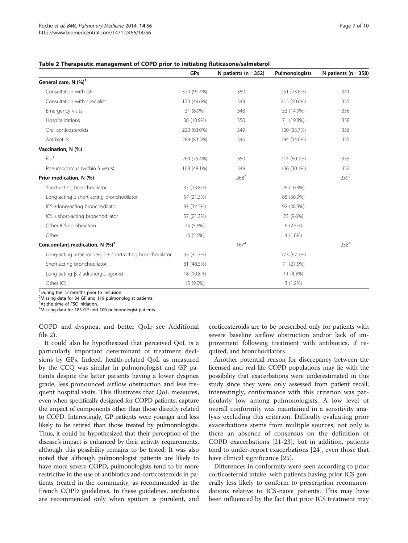<span id="page-6-0"></span>

| Table 2 Therapeutic management of COPD prior to initiating fluticasone/salmeterol |  |  |  |
|-----------------------------------------------------------------------------------|--|--|--|
|-----------------------------------------------------------------------------------|--|--|--|

|                                                               | GPs         | N patients ( $n = 352$ ) | Pulmonologists | N patients ( $n = 358$ ) |
|---------------------------------------------------------------|-------------|--------------------------|----------------|--------------------------|
| General care, N (%) <sup>1</sup>                              |             |                          |                |                          |
| Consultation with GP                                          | 320 (91.4%) | 350                      | 251 (73.6%)    | 341                      |
| Consultation with specialist                                  | 173 (49.6%) | 349                      | 215 (60.6%)    | 355                      |
| Emergency visits                                              | 31 (8.9%)   | 348                      | 53 (14.9%)     | 356                      |
| Hospitalizations                                              | 38 (10.9%)  | 350                      | 71 (19.8%)     | 358                      |
| Oral corticosteroids                                          | 220 (63.0%) | 349                      | 120 (33.7%)    | 356                      |
| Antibiotics                                                   | 289 (83.5%) | 346                      | 194 (54.6%)    | 355                      |
| Vaccination, N (%)                                            |             |                          |                |                          |
| Flu <sup>1</sup>                                              | 264 (75.4%) | 350                      | 214 (60.1%)    | 355                      |
| Pneumococcus (within 5 years)                                 | 168 (48.1%) | 349                      | 106 (30.1%)    | 352                      |
| Prior medication, N (%)                                       |             | $268^2$                  |                | $239^{2}$                |
| Short-acting bronchodilator                                   | 37 (13.8%)  |                          | 26 (10.9%)     |                          |
| Long-acting $\pm$ short-acting bronchodilator                 | 57 (21.3%)  |                          | 88 (36.9%)     |                          |
| ICS + long-acting bronchodilator                              | 87 (32.5%)  |                          | 92 (38.5%)     |                          |
| $ICS \pm short\text{-}acting$ bronchodilator                  | 57 (21.3%)  |                          | 23 (9.6%)      |                          |
| Other ICS combination                                         | 15 (5.6%)   |                          | 6(2.5%)        |                          |
| Other                                                         | 15 (5.6%)   |                          | $4(1.6\%)$     |                          |
| Concomitant medication, $N$ (%) <sup>3</sup>                  |             | 167 <sup>4</sup>         |                | $258^{4}$                |
| Long-acting anticholinergic $\pm$ short-acting bronchodilator | 53 (31.7%)  |                          | 173 (67.1%)    |                          |
| Short-acting bronchodilator                                   | 81 (48.5%)  |                          | 71 (27.5%)     |                          |
| Long-acting $\beta$ -2 adrenergic agonist                     | 18 (10.8%)  |                          | 11 (4.3%)      |                          |
| Other ICS                                                     | 15 (9.0%)   |                          | $3(1.2\%)$     |                          |

<sup>1</sup>During the 12 months prior to inclusion. <sup>2</sup>Missing data for 84 GP and 119 pulmonologist patients.

<sup>3</sup>At the time of FSC initiation.

<sup>4</sup>Missing data for 185 GP and 100 pulmonologist patients.

COPD and dyspnea, and better QoL; see Additional

file [2\)](#page-8-0). It could also be hypothesized that perceived QoL is a particularly important determinant of treatment decisions by GPs. Indeed, health-related QoL as measured by the CCQ was similar in pulmonologist and GP patients despite the latter patients having a lower dyspnea grade, less pronounced airflow obstruction and less frequent hospital visits. This illustrates that QoL measures, even when specifically designed for COPD patients, capture the impact of components other than those directly related to COPD. Interestingly, GP patients were younger and less likely to be retired than those treated by pulmonologists. Thus, it could be hypothesized that their perception of the disease's impact is enhanced by their activity requirements, although this possibility remains to be tested. It was also noted that although pulmonologist patients are likely to have more severe COPD, pulmonologists tend to be more restrictive in the use of antibiotics and corticosteroids in patients treated in the community, as recommended in the French COPD guidelines. In these guidelines, antibiotics are recommended only when sputum is purulent, and corticosteroids are to be prescribed only for patients with severe baseline airflow obstruction and/or lack of improvement following treatment with antibiotics, if required, and bronchodilators.

Another potential reason for discrepancy between the licensed and real-life COPD populations may lie with the possibility that exacerbations were underestimated in this study since they were only assessed from patient recall; interestingly, conformance with this criterion was particularly low among pulmonologists. A low level of overall conformity was maintained in a sensitivity analysis excluding this criterion. Difficulty evaluating prior exacerbations stems from multiple sources; not only is there an absence of consensus on the definition of COPD exacerbations [[21-23](#page-9-0)], but in addition, patients tend to under-report exacerbations [[24\]](#page-9-0), even those that have clinical significance [[25](#page-9-0)].

Differences in conformity were seen according to prior corticosteroid intake, with patients having prior ICS generally less likely to conform to prescription recommendations relative to ICS-naïve patients. This may have been influenced by the fact that prior ICS treatment may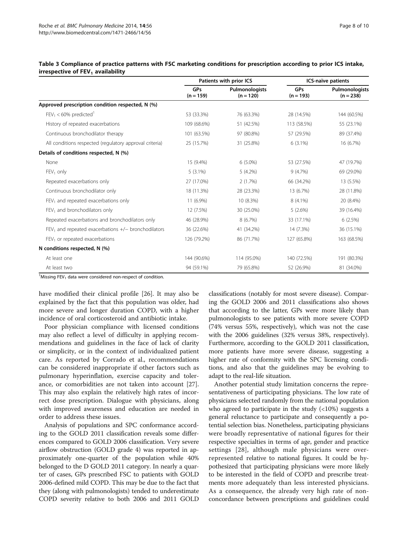|                                                         | Patients with prior ICS   |                               | ICS-naïve patients        |                               |
|---------------------------------------------------------|---------------------------|-------------------------------|---------------------------|-------------------------------|
|                                                         | <b>GPs</b><br>$(n = 159)$ | Pulmonologists<br>$(n = 120)$ | <b>GPs</b><br>$(n = 193)$ | Pulmonologists<br>$(n = 238)$ |
| Approved prescription condition respected, N (%)        |                           |                               |                           |                               |
| $FEV_1 < 60\%$ predicted <sup>1</sup>                   | 53 (33.3%)                | 76 (63.3%)                    | 28 (14.5%)                | 144 (60.5%)                   |
| History of repeated exacerbations                       | 109 (68.6%)               | 51 (42.5%)                    | 113 (58.5%)               | 55 (23.1%)                    |
| Continuous bronchodilator therapy                       | 101 (63.5%)               | 97 (80.8%)                    | 57 (29.5%)                | 89 (37.4%)                    |
| All conditions respected (regulatory approval criteria) | 25 (15.7%)                | 31 (25.8%)                    | $6(3.1\%)$                | 16 (6.7%)                     |
| Details of conditions respected, N (%)                  |                           |                               |                           |                               |
| None                                                    | 15 (9.4%)                 | $6(5.0\%)$                    | 53 (27.5%)                | 47 (19.7%)                    |
| $FEV1$ only                                             | $5(3.1\%)$                | $5(4.2\%)$                    | 9(4.7%)                   | 69 (29.0%)                    |
| Repeated exacerbations only                             | 27 (17.0%)                | 2(1.7%)                       | 66 (34.2%)                | 13 (5.5%)                     |
| Continuous bronchodilator only                          | 18 (11.3%)                | 28 (23.3%)                    | 13 (6.7%)                 | 28 (11.8%)                    |
| $FEV1$ and repeated exacerbations only                  | 11 (6.9%)                 | 10 (8.3%)                     | $8(4.1\%)$                | 20 (8.4%)                     |
| FEV <sub>1</sub> and bronchodilators only               | 12 (7.5%)                 | 30 (25.0%)                    | 5(2.6%)                   | 39 (16.4%)                    |
| Repeated exacerbations and bronchodilators only         | 46 (28.9%)                | 8(6.7%)                       | 33 (17.1%)                | 6(2.5%)                       |
| $FEV1$ and repeated exacerbations $+/-$ bronchodilators | 36 (22.6%)                | 41 (34.2%)                    | 14 (7.3%)                 | 36 (15.1%)                    |
| $FEV1$ or repeated exacerbations                        | 126 (79.2%)               | 86 (71.7%)                    | 127 (65.8%)               | 163 (68.5%)                   |
| N conditions respected, N (%)                           |                           |                               |                           |                               |
| At least one                                            | 144 (90.6%)               | 114 (95.0%)                   | 140 (72.5%)               | 191 (80.3%)                   |
| At least two                                            | 94 (59.1%)                | 79 (65.8%)                    | 52 (26.9%)                | 81 (34.0%)                    |

#### <span id="page-7-0"></span>Table 3 Compliance of practice patterns with FSC marketing conditions for prescription according to prior ICS intake, irrespective of  $FEV<sub>1</sub>$  availability

 $1$ Missing FEV<sub>1</sub> data were considered non-respect of condition.

have modified their clinical profile [[26\]](#page-9-0). It may also be explained by the fact that this population was older, had more severe and longer duration COPD, with a higher incidence of oral corticosteroid and antibiotic intake.

Poor physician compliance with licensed conditions may also reflect a level of difficulty in applying recommendations and guidelines in the face of lack of clarity or simplicity, or in the context of individualized patient care. As reported by Corrado et al., recommendations can be considered inappropriate if other factors such as pulmonary hyperinflation, exercise capacity and tolerance, or comorbidities are not taken into account [\[27](#page-9-0)]. This may also explain the relatively high rates of incorrect dose prescription. Dialogue with physicians, along with improved awareness and education are needed in order to address these issues.

Analysis of populations and SPC conformance according to the GOLD 2011 classification reveals some differences compared to GOLD 2006 classification. Very severe airflow obstruction (GOLD grade 4) was reported in approximately one-quarter of the population while 40% belonged to the D GOLD 2011 category. In nearly a quarter of cases, GPs prescribed FSC to patients with GOLD 2006-defined mild COPD. This may be due to the fact that they (along with pulmonologists) tended to underestimate COPD severity relative to both 2006 and 2011 GOLD classifications (notably for most severe disease). Comparing the GOLD 2006 and 2011 classifications also shows that according to the latter, GPs were more likely than pulmonologists to see patients with more severe COPD (74% versus 55%, respectively), which was not the case with the 2006 guidelines (32% versus 38%, respectively). Furthermore, according to the GOLD 2011 classification, more patients have more severe disease, suggesting a higher rate of conformity with the SPC licensing conditions, and also that the guidelines may be evolving to adapt to the real-life situation.

Another potential study limitation concerns the representativeness of participating physicians. The low rate of physicians selected randomly from the national population who agreed to participate in the study  $\left($  <10%) suggests a general reluctance to participate and consequently a potential selection bias. Nonetheless, participating physicians were broadly representative of national figures for their respective specialties in terms of age, gender and practice settings [[28](#page-9-0)], although male physicians were overrepresented relative to national figures. It could be hypothesized that participating physicians were more likely to be interested in the field of COPD and prescribe treatments more adequately than less interested physicians. As a consequence, the already very high rate of nonconcordance between prescriptions and guidelines could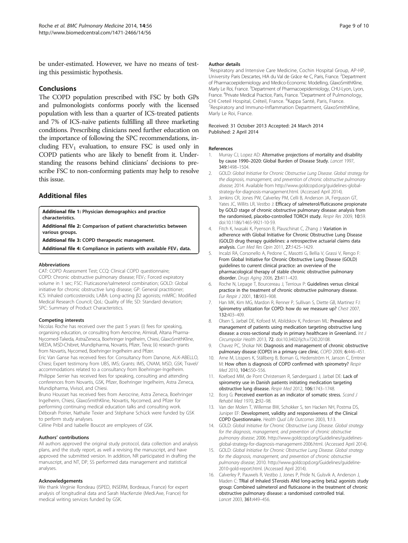<span id="page-8-0"></span>be under-estimated. However, we have no means of testing this pessimistic hypothesis.

#### Conclusions

The COPD population prescribed with FSC by both GPs and pulmonologists conforms poorly with the licensed population with less than a quarter of ICS-treated patients and 7% of ICS-naïve patients fulfilling all three marketing conditions. Prescribing clinicians need further education on the importance of following the SPC recommendations, including  $FEV<sub>1</sub>$  evaluation, to ensure FSC is used only in COPD patients who are likely to benefit from it. Understanding the reasons behind clinicians' decisions to prescribe FSC to non-conforming patients may help to resolve this issue.

## Additional files

[Additional file 1:](http://www.biomedcentral.com/content/supplementary/1471-2466-14-56-S1.docx) Physician demographics and practice characteristics.

[Additional file 2:](http://www.biomedcentral.com/content/supplementary/1471-2466-14-56-S2.docx) Comparison of patient characteristics between various groups.

[Additional file 3:](http://www.biomedcentral.com/content/supplementary/1471-2466-14-56-S3.docx) COPD therapeutic management.

[Additional file 4:](http://www.biomedcentral.com/content/supplementary/1471-2466-14-56-S4.docx) Compliance in patients with available  $FEV<sub>1</sub>$  data.

#### Abbreviations

CAT: COPD Assessment Test; CCQ: Clinical COPD questionnaire; COPD: Chronic obstructive pulmonary disease: FEV<sub>1</sub>: Forced expiratory volume in 1 sec; FSC: Fluticasone/salmeterol combination; GOLD: Global initiative for chronic obstructive lung disease; GP: General practitioner; ICS: Inhaled corticosteroids; LABA: Long-acting β2 agonists; mMRC: Modified Medical Research Council; QoL: Quality of life; SD: Standard deviation; SPC: Summary of Product Characteristics.

#### Competing interests

Nicolas Roche has received over the past 5 years (i) fees for speaking, organising education, or consulting from Aerocrine, Almirall, Altana Pharma-Nycomed-Takeda, AstraZeneca, Boehringer Ingelheim, Chiesi, GlaxoSmithKline, MEDA, MSD-Chibret, Mundipharma, Novartis, Pfizer, Teva; (ii) research grants from Novartis, Nycomed, Boehringer Ingelheim and Pfizer.

Eric Van Ganse has received fees for: Consultancy from Danone, ALK-ABELLO, Chiesi; Expert testimony from UBS, IMS; Grants: IMS, CNAM, MSD, GSK; Travel/ accommodations related to a consultancy from Boehringer-Ingelheim. Philippe Serrier has received fees for speaking, consulting and attending conferences from Novartis, GSK, Pfizer, Boehringer Ingelheim, Astra Zeneca, Mundipharma, Vivisol, and Chiesi.

Bruno Housset has received fees from Aerocrine, Astra Zeneca, Boehringer Ingelheim, Chiesi, GlaxoSmithKline, Novartis, Nycomed, and Pfizer for performing continuing medical education talks and consulting work. Déborah Poirier, Nathalie Texier and Stéphane Schück were funded by GSK to perform study analyses.

Céline Pribil and Isabelle Boucot are employees of GSK.

#### Authors' contributions

All authors approved the original study protocol, data collection and analysis plans, and the study report, as well a revising the manuscript, and have approved the submitted version. In addition, NR participated in drafting the manuscript, and NT, DP, SS performed data management and statistical analyses.

#### Acknowledgements

We thank Virginie Rondeau (ISPED, INSERM, Bordeaux, France) for expert analysis of longitudinal data and Sarah MacKenzie (Medi.Axe, France) for medical writing services funded by GSK.

#### Author details

<sup>1</sup>Respiratory and Intensive Care Medicine, Cochin Hospital Group, AP-HP, University Paris Descartes, HIA du Val de Grâce 4e C, Paris, France. <sup>2</sup>Department of Pharmacoepidemiology and Medico-Economic Modelling, GlaxoSmithKline, Marly Le Roi, France. <sup>3</sup>Department of Pharmacoepidemiology, CHU-Lyon, Lyon, France. <sup>4</sup>Private Medical Practice, Paris, France. <sup>5</sup>Department of Pulmonology CHI Creteil Hospital, Créteil, France. <sup>6</sup>Kappa Santé, Paris, France<br><sup>7</sup>Bespiratory and Immuno-Inflammation Department, GlaxoSmi <sup>7</sup> Respiratory and Immuno-Inflammation Department, GlaxoSmithKline, Marly Le Roi, France.

#### Received: 31 October 2013 Accepted: 24 March 2014 Published: 2 April 2014

#### References

- 1. Murray CJ, Lopez AD: Alternative projections of mortality and disability by cause 1990–2020: Global Burden of Disease Study. Lancet 1997, 349:1498–1504.
- 2. GOLD: Global Initiative for Chronic Obstructive Lung Disease. Global strategy for the diagnosis, management, and prevention of chronic obstructive pulmonary disease; 2014. Available from [http://www.goldcopd.org/guidelines-global](http://www.goldcopd.org/guidelines-global-strategy-for-diagnosis-management.html)[strategy-for-diagnosis-management.html.](http://www.goldcopd.org/guidelines-global-strategy-for-diagnosis-management.html) (Accessed April 2014).
- 3. Jenkins CR, Jones PW, Calverley PM, Celli B, Anderson JA, Ferguson GT, Yates JC, Willits LR, Vestbo J: Efficacy of salmeterol/fluticasone propionate by GOLD stage of chronic obstructive pulmonary disease: analysis from the randomised, placebo-controlled TORCH study. Respir Res 2009, 10:59. doi:10.1186/1465-9921-10-59.
- 4. Fitch K, Iwasaki K, Pyenson B, Plauschinat C, Zhang J: Variation in adherence with Global Initiative for Chronic Obstructive Lung Disease (GOLD) drug therapy guidelines: a retrospective actuarial claims data analysis. Curr Med Res Opin 2011, 27:1425–1429.
- 5. Incalzi RA, Corsonello A, Pedone C, Masotti G, Bellia V, Grassi V, Rengo F: From Global Initiative for Chronic Obstructive Lung Disease (GOLD) guidelines to current clinical practice: an overview of the pharmacological therapy of stable chronic obstructive pulmonary disorder. Drugs Aging 2006, 23:411–420.
- 6. Roche N, Lepage T, Bourcereau J, Terrioux P: Guidelines versus clinical practice in the treatment of chronic obstructive pulmonary disease. Eur Respir J 2001, 18:903–908.
- 7. Han MK, Kim MG, Mardon R, Renner P, Sullivan S, Diette GB, Martinez FJ: Spirometry utilization for COPD: how do we measure up? Chest 2007, 132:403–409.
- 8. Olsen S, Jarbøl DE, Kofoed M, Abildskov K, Pedersen ML: Prevalence and management of patients using medication targeting obstructive lung disease: a cross-sectional study in primary healthcare in Greenland. Int J Circumpolar Health 2013, 72. doi:10.3402/ijch.v72i0.20108.
- 9. Chavez PC, Shokar NK: Diagnosis and management of chronic obstructive pulmonary disease (COPD) in a primary care clinic. COPD 2009, 6:446–451.
- 10. Arne M, Lisspers K, Ställberg B, Boman G, Hedenström H, Janson C, Emtner M: How often is diagnosis of COPD confirmed with spirometry? Respir Med 2010, 104:550–556.
- 11. Koefoed MM, de Pont Christensen R, Søndergaard J, Jarbøl DE: Lack of spirometry use in Danish patients initiating medication targeting obstructive lung disease. Respir Med 2012, 106:1743–1748.
- 12. Borg G: Perceived exertion as an indicator of somatic stress. Scand J Rehabil Med 1970, 2:92–98.
- 13. Van der Molen T, Willemse BW, Schokker S, ten Hacken NH, Postma DS, Juniper EF: Development, validity and responsiveness of the Clinical COPD Questionnaire. Health Qual Life Outcomes 2003, 1:13.
- 14. GOLD: Global Initiative for Chronic Obstructive Lung Disease. Global strategy for the diagnosis, management, and prevention of chronic obstructive pulmonary disease; 2006. [http://www.goldcopd.org/Guidelines/guidelines](http://www.goldcopd.org/Guidelines/guidelines-global-strategy-for-diagnosis-management-2006.html)[global-strategy-for-diagnosis-management-2006.html.](http://www.goldcopd.org/Guidelines/guidelines-global-strategy-for-diagnosis-management-2006.html) (Accessed April 2014).
- 15. GOLD: Global Initiative for Chronic Obstructive Lung Disease. Global strategy for the diagnosis, management, and prevention of chronic obstructive pulmonary disease; 2010. [http://www.goldcopd.org/Guidelines/guideline-](http://www.goldcopd.org/Guidelines/guideline-2010-gold-report.html)[2010-gold-report.html](http://www.goldcopd.org/Guidelines/guideline-2010-gold-report.html). (Accessed April 2014).
- 16. Calverley P, Pauwels R, Vestbo J, Jones P, Pride N, Gulsvik A, Anderson J, Maden C: TRial of Inhaled STeroids ANd long-acting beta2 agonists study group: Combined salmeterol and fluticasone in the treatment of chronic obstructive pulmonary disease: a randomised controlled trial. Lancet 2003, 361:449–456.